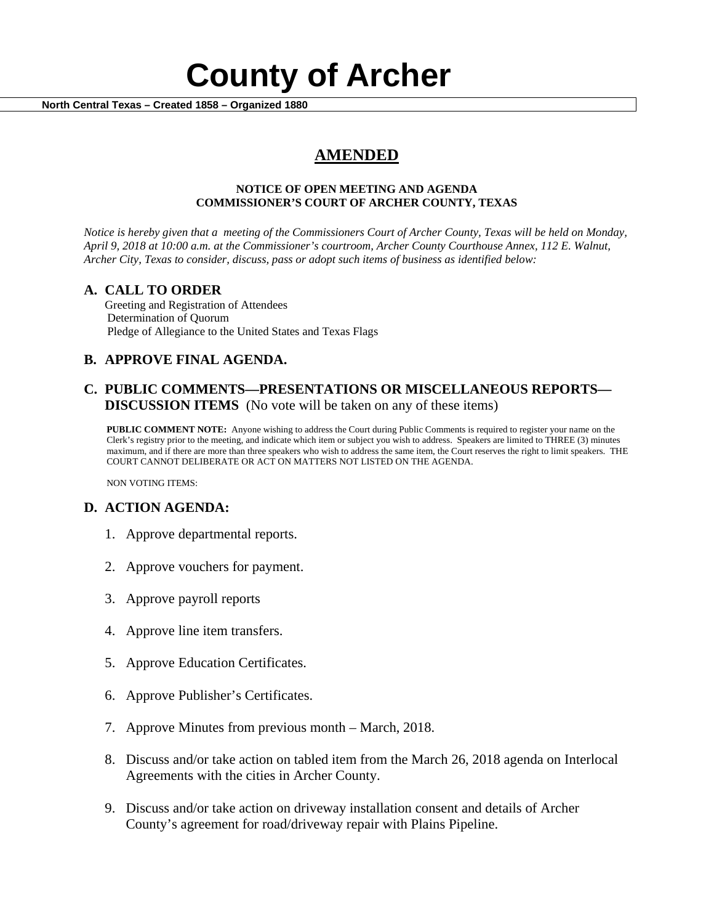# **County of Archer And County of Archer North Central Texas – Created 1858 – Organized 1880**

# **AMENDED**

### **NOTICE OF OPEN MEETING AND AGENDA COMMISSIONER'S COURT OF ARCHER COUNTY, TEXAS**

*Notice is hereby given that a meeting of the Commissioners Court of Archer County, Texas will be held on Monday, April 9, 2018 at 10:00 a.m. at the Commissioner's courtroom, Archer County Courthouse Annex, 112 E. Walnut, Archer City, Texas to consider, discuss, pass or adopt such items of business as identified below:*

**A. CALL TO ORDER** Greeting and Registration of Attendees Determination of Quorum Pledge of Allegiance to the United States and Texas Flags

# **B. APPROVE FINAL AGENDA.**

# **C. PUBLIC COMMENTS—PRESENTATIONS OR MISCELLANEOUS REPORTS— DISCUSSION ITEMS** (No vote will be taken on any of these items)

**PUBLIC COMMENT NOTE:** Anyone wishing to address the Court during Public Comments is required to register your name on the Clerk's registry prior to the meeting, and indicate which item or subject you wish to address. Speakers are limited to THREE (3) minutes maximum, and if there are more than three speakers who wish to address the same item, the Court reserves the right to limit speakers. THE COURT CANNOT DELIBERATE OR ACT ON MATTERS NOT LISTED ON THE AGENDA.

NON VOTING ITEMS:

## **D. ACTION AGENDA:**

- 1. Approve departmental reports.
- 2. Approve vouchers for payment.
- 3. Approve payroll reports
- 4. Approve line item transfers.
- 5. Approve Education Certificates.
- 6. Approve Publisher's Certificates.
- 7. Approve Minutes from previous month March, 2018.
- 8. Discuss and/or take action on tabled item from the March 26, 2018 agenda on Interlocal Agreements with the cities in Archer County.
- 9. Discuss and/or take action on driveway installation consent and details of Archer County's agreement for road/driveway repair with Plains Pipeline.